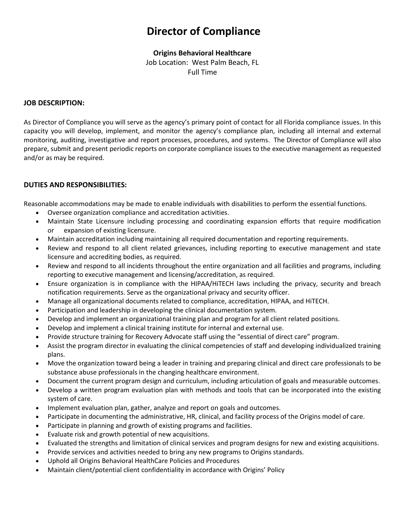# **Director of Compliance**

## **Origins Behavioral Healthcare**

Job Location: West Palm Beach, FL Full Time

#### **JOB DESCRIPTION:**

As Director of Compliance you will serve as the agency's primary point of contact for all Florida compliance issues. In this capacity you will develop, implement, and monitor the agency's compliance plan, including all internal and external monitoring, auditing, investigative and report processes, procedures, and systems. The Director of Compliance will also prepare, submit and present periodic reports on corporate compliance issues to the executive management as requested and/or as may be required.

## **DUTIES AND RESPONSIBILITIES:**

Reasonable accommodations may be made to enable individuals with disabilities to perform the essential functions.

- Oversee organization compliance and accreditation activities.
- Maintain State Licensure including processing and coordinating expansion efforts that require modification or expansion of existing licensure.
- Maintain accreditation including maintaining all required documentation and reporting requirements.
- Review and respond to all client related grievances, including reporting to executive management and state licensure and accrediting bodies, as required.
- Review and respond to all incidents throughout the entire organization and all facilities and programs, including reporting to executive management and licensing/accreditation, as required.
- Ensure organization is in compliance with the HIPAA/HiTECH laws including the privacy, security and breach notification requirements. Serve as the organizational privacy and security officer.
- Manage all organizational documents related to compliance, accreditation, HIPAA, and HiTECH.
- Participation and leadership in developing the clinical documentation system.
- Develop and implement an organizational training plan and program for all client related positions.
- Develop and implement a clinical training institute for internal and external use.
- Provide structure training for Recovery Advocate staff using the "essential of direct care" program.
- Assist the program director in evaluating the clinical competencies of staff and developing individualized training plans.
- Move the organization toward being a leader in training and preparing clinical and direct care professionals to be substance abuse professionals in the changing healthcare environment.
- Document the current program design and curriculum, including articulation of goals and measurable outcomes.
- Develop a written program evaluation plan with methods and tools that can be incorporated into the existing system of care.
- Implement evaluation plan, gather, analyze and report on goals and outcomes.
- Participate in documenting the administrative, HR, clinical, and facility process of the Origins model of care.
- Participate in planning and growth of existing programs and facilities.
- Evaluate risk and growth potential of new acquisitions.
- Evaluated the strengths and limitation of clinical services and program designs for new and existing acquisitions.
- Provide services and activities needed to bring any new programs to Origins standards.
- Uphold all Origins Behavioral HealthCare Policies and Procedures
- Maintain client/potential client confidentiality in accordance with Origins' Policy